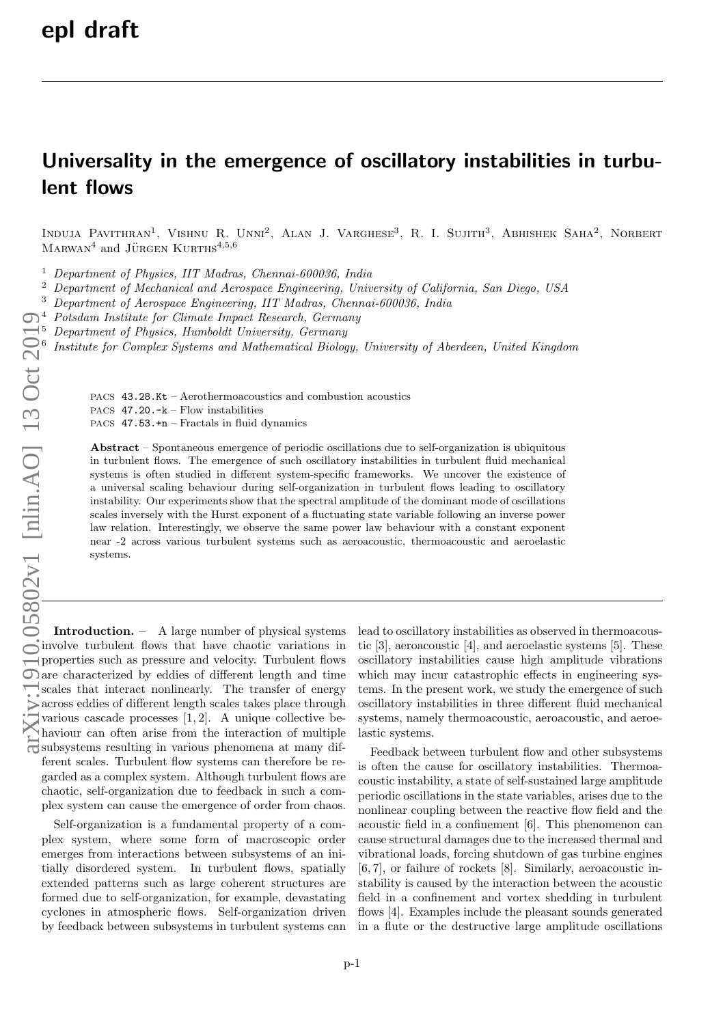## Universality in the emergence of oscillatory instabilities in turbulent flows

INDUJA PAVITHRAN<sup>1</sup>, VISHNU R. UNNI<sup>2</sup>, ALAN J. VARGHESE<sup>3</sup>, R. I. SUJITH<sup>3</sup>, ABHISHEK SAHA<sup>2</sup>, NORBERT  $\text{MARM}^4$  and JÜRGEN  $\text{KURTHS}^{4,5,6}$ 

<sup>1</sup> Department of Physics, IIT Madras, Chennai-600036, India<br><sup>2</sup> Department of Mechanical and Aerospace Engineering Univ.

<sup>2</sup> Department of Mechanical and Aerospace Engineering, University of California, San Diego, USA<br><sup>3</sup> Department of Aerospace Engineering, UT Madree, Channai 600026, India

<sup>3</sup> Department of Aerospace Engineering, IIT Madras, Chennai-600036, India

<sup>4</sup> Potsdam Institute for Climate Impact Research, Germany

<sup>5</sup> Department of Physics, Humboldt University, Germany<br> $\frac{6}{5}$  Institute for Complex Systems and Mathematical Biology

Institute for Complex Systems and Mathematical Biology, University of Aberdeen, United Kingdom

PACS 43.28.Kt – Aerothermoacoustics and combustion acoustics PACS  $47.20.-k$  – Flow instabilities

PACS  $47.53.+n-Fractals$  in fluid dynamics

Abstract – Spontaneous emergence of periodic oscillations due to self-organization is ubiquitous in turbulent flows. The emergence of such oscillatory instabilities in turbulent fluid mechanical systems is often studied in different system-specific frameworks. We uncover the existence of a universal scaling behaviour during self-organization in turbulent flows leading to oscillatory instability. Our experiments show that the spectral amplitude of the dominant mode of oscillations scales inversely with the Hurst exponent of a fluctuating state variable following an inverse power law relation. Interestingly, we observe the same power law behaviour with a constant exponent near -2 across various turbulent systems such as aeroacoustic, thermoacoustic and aeroelastic systems.

Introduction. - A large number of physical systems involve turbulent flows that have chaotic variations in properties such as pressure and velocity. Turbulent flows are characterized by eddies of different length and time scales that interact nonlinearly. The transfer of energy scales that interact nonlinearly. The transfer of energy  $\geq$  across eddies of different length scales takes place through various cascade processes [1, 2]. A unique collective behaviour can often arise from the interaction of multiple subsystems resulting in various phenomena at many different scales. Turbulent flow systems can therefore be regarded as a complex system. Although turbulent flows are chaotic, self-organization due to feedback in such a complex system can cause the emergence of order from chaos.

Self-organization is a fundamental property of a complex system, where some form of macroscopic order emerges from interactions between subsystems of an initially disordered system. In turbulent flows, spatially extended patterns such as large coherent structures are formed due to self-organization, for example, devastating cyclones in atmospheric flows. Self-organization driven by feedback between subsystems in turbulent systems can

lead to oscillatory instabilities as observed in thermoacoustic [3], aeroacoustic [4], and aeroelastic systems [5]. These oscillatory instabilities cause high amplitude vibrations which may incur catastrophic effects in engineering systems. In the present work, we study the emergence of such oscillatory instabilities in three different fluid mechanical systems, namely thermoacoustic, aeroacoustic, and aeroelastic systems.

Feedback between turbulent flow and other subsystems is often the cause for oscillatory instabilities. Thermoacoustic instability, a state of self-sustained large amplitude periodic oscillations in the state variables, arises due to the nonlinear coupling between the reactive flow field and the acoustic field in a confinement [6]. This phenomenon can cause structural damages due to the increased thermal and vibrational loads, forcing shutdown of gas turbine engines [6, 7], or failure of rockets [8]. Similarly, aeroacoustic instability is caused by the interaction between the acoustic field in a confinement and vortex shedding in turbulent flows [4]. Examples include the pleasant sounds generated in a flute or the destructive large amplitude oscillations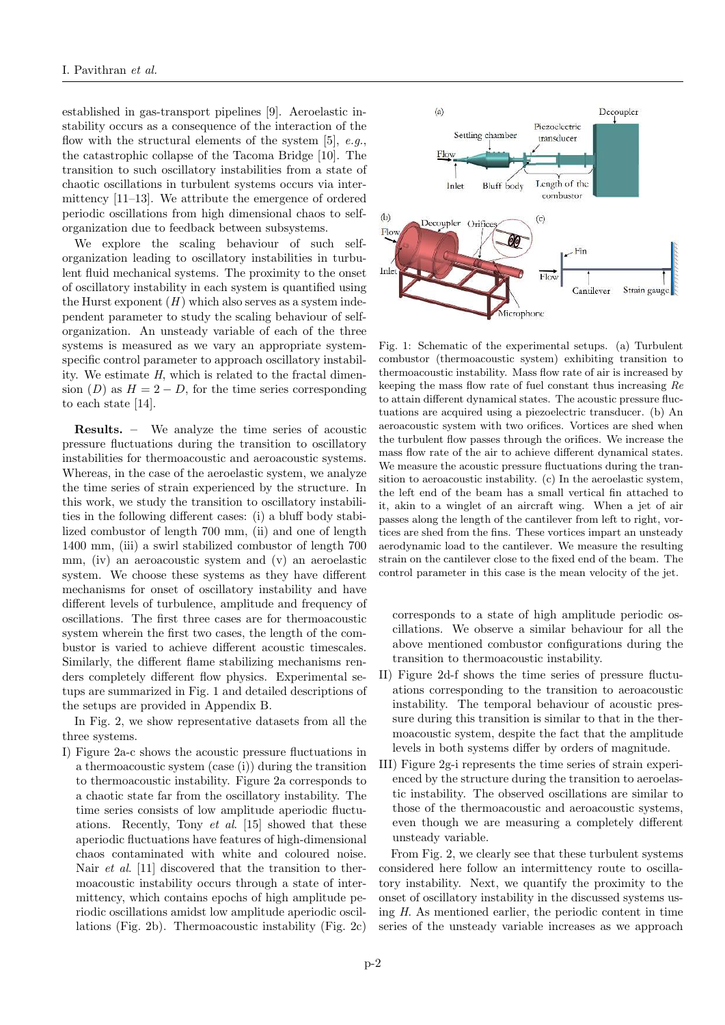established in gas-transport pipelines [9]. Aeroelastic instability occurs as a consequence of the interaction of the flow with the structural elements of the system  $[5]$ , e.g., the catastrophic collapse of the Tacoma Bridge [10]. The transition to such oscillatory instabilities from a state of chaotic oscillations in turbulent systems occurs via intermittency [11–13]. We attribute the emergence of ordered periodic oscillations from high dimensional chaos to selforganization due to feedback between subsystems.

We explore the scaling behaviour of such selforganization leading to oscillatory instabilities in turbulent fluid mechanical systems. The proximity to the onset of oscillatory instability in each system is quantified using the Hurst exponent  $(H)$  which also serves as a system independent parameter to study the scaling behaviour of selforganization. An unsteady variable of each of the three systems is measured as we vary an appropriate systemspecific control parameter to approach oscillatory instability. We estimate H, which is related to the fractal dimension (D) as  $H = 2 - D$ , for the time series corresponding to each state [14].

Results. – We analyze the time series of acoustic pressure fluctuations during the transition to oscillatory instabilities for thermoacoustic and aeroacoustic systems. Whereas, in the case of the aeroelastic system, we analyze the time series of strain experienced by the structure. In this work, we study the transition to oscillatory instabilities in the following different cases: (i) a bluff body stabilized combustor of length 700 mm, (ii) and one of length 1400 mm, (iii) a swirl stabilized combustor of length 700 mm, (iv) an aeroacoustic system and (v) an aeroelastic system. We choose these systems as they have different mechanisms for onset of oscillatory instability and have different levels of turbulence, amplitude and frequency of oscillations. The first three cases are for thermoacoustic system wherein the first two cases, the length of the combustor is varied to achieve different acoustic timescales. Similarly, the different flame stabilizing mechanisms renders completely different flow physics. Experimental setups are summarized in Fig. 1 and detailed descriptions of the setups are provided in Appendix B.

In Fig. 2, we show representative datasets from all the three systems.

I) Figure 2a-c shows the acoustic pressure fluctuations in a thermoacoustic system (case (i)) during the transition to thermoacoustic instability. Figure 2a corresponds to a chaotic state far from the oscillatory instability. The time series consists of low amplitude aperiodic fluctuations. Recently, Tony et al. [15] showed that these aperiodic fluctuations have features of high-dimensional chaos contaminated with white and coloured noise. Nair *et al.* [11] discovered that the transition to thermoacoustic instability occurs through a state of intermittency, which contains epochs of high amplitude periodic oscillations amidst low amplitude aperiodic oscillations (Fig. 2b). Thermoacoustic instability (Fig. 2c)



Fig. 1: Schematic of the experimental setups. (a) Turbulent combustor (thermoacoustic system) exhibiting transition to thermoacoustic instability. Mass flow rate of air is increased by keeping the mass flow rate of fuel constant thus increasing *Re* to attain different dynamical states. The acoustic pressure fluctuations are acquired using a piezoelectric transducer. (b) An aeroacoustic system with two orifices. Vortices are shed when the turbulent flow passes through the orifices. We increase the mass flow rate of the air to achieve different dynamical states. We measure the acoustic pressure fluctuations during the transition to aeroacoustic instability. (c) In the aeroelastic system, the left end of the beam has a small vertical fin attached to it, akin to a winglet of an aircraft wing. When a jet of air passes along the length of the cantilever from left to right, vortices are shed from the fins. These vortices impart an unsteady aerodynamic load to the cantilever. We measure the resulting strain on the cantilever close to the fixed end of the beam. The control parameter in this case is the mean velocity of the jet.

corresponds to a state of high amplitude periodic oscillations. We observe a similar behaviour for all the above mentioned combustor configurations during the transition to thermoacoustic instability.

- II) Figure 2d-f shows the time series of pressure fluctuations corresponding to the transition to aeroacoustic instability. The temporal behaviour of acoustic pressure during this transition is similar to that in the thermoacoustic system, despite the fact that the amplitude levels in both systems differ by orders of magnitude.
- III) Figure 2g-i represents the time series of strain experienced by the structure during the transition to aeroelastic instability. The observed oscillations are similar to those of the thermoacoustic and aeroacoustic systems, even though we are measuring a completely different unsteady variable.

From Fig. 2, we clearly see that these turbulent systems considered here follow an intermittency route to oscillatory instability. Next, we quantify the proximity to the onset of oscillatory instability in the discussed systems using H. As mentioned earlier, the periodic content in time series of the unsteady variable increases as we approach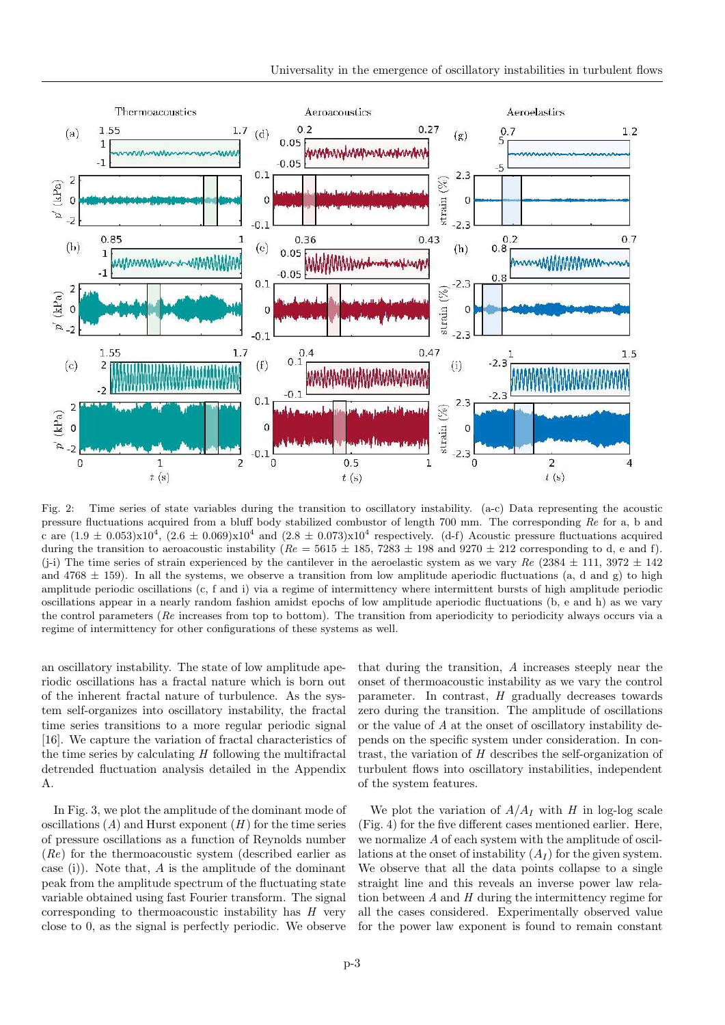

Fig. 2: Time series of state variables during the transition to oscillatory instability. (a-c) Data representing the acoustic pressure fluctuations acquired from a bluff body stabilized combustor of length 700 mm. The corresponding *Re* for a, b and c are  $(1.9 \pm 0.053)x10^4$ ,  $(2.6 \pm 0.069)x10^4$  and  $(2.8 \pm 0.073)x10^4$  respectively. (d-f) Acoustic pressure fluctuations acquired during the transition to aeroacoustic instability ( $Re = 5615 \pm 185$ , 7283  $\pm 198$  and 9270  $\pm 212$  corresponding to d, e and f).  $(j-i)$  The time series of strain experienced by the cantilever in the aeroelastic system as we vary  $Re(2384 \pm 111, 3972 \pm 142)$ and 4768  $\pm$  159). In all the systems, we observe a transition from low amplitude aperiodic fluctuations (a, d and g) to high amplitude periodic oscillations (c, f and i) via a regime of intermittency where intermittent bursts of high amplitude periodic oscillations appear in a nearly random fashion amidst epochs of low amplitude aperiodic fluctuations (b, e and h) as we vary the control parameters (*Re* increases from top to bottom). The transition from aperiodicity to periodicity always occurs via a regime of intermittency for other configurations of these systems as well.

an oscillatory instability. The state of low amplitude aperiodic oscillations has a fractal nature which is born out of the inherent fractal nature of turbulence. As the system self-organizes into oscillatory instability, the fractal time series transitions to a more regular periodic signal [16]. We capture the variation of fractal characteristics of the time series by calculating  $H$  following the multifractal detrended fluctuation analysis detailed in the Appendix A.

In Fig. 3, we plot the amplitude of the dominant mode of oscillations  $(A)$  and Hurst exponent  $(H)$  for the time series of pressure oscillations as a function of Reynolds number  $(Re)$  for the thermoacoustic system (described earlier as case (i)). Note that,  $A$  is the amplitude of the dominant peak from the amplitude spectrum of the fluctuating state variable obtained using fast Fourier transform. The signal corresponding to thermoacoustic instability has  $H$  very close to 0, as the signal is perfectly periodic. We observe that during the transition, A increases steeply near the onset of thermoacoustic instability as we vary the control parameter. In contrast, H gradually decreases towards zero during the transition. The amplitude of oscillations or the value of A at the onset of oscillatory instability depends on the specific system under consideration. In contrast, the variation of H describes the self-organization of turbulent flows into oscillatory instabilities, independent of the system features.

We plot the variation of  $A/A<sub>I</sub>$  with H in log-log scale (Fig. 4) for the five different cases mentioned earlier. Here, we normalize A of each system with the amplitude of oscillations at the onset of instability  $(A_I)$  for the given system. We observe that all the data points collapse to a single straight line and this reveals an inverse power law relation between A and H during the intermittency regime for all the cases considered. Experimentally observed value for the power law exponent is found to remain constant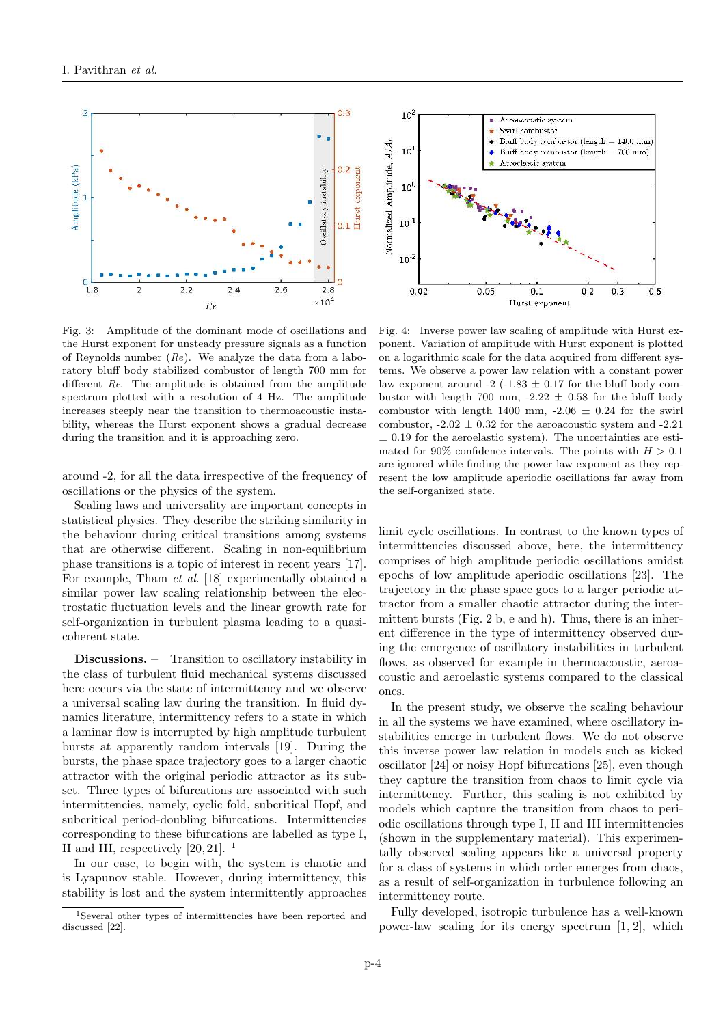

Fig. 3: Amplitude of the dominant mode of oscillations and the Hurst exponent for unsteady pressure signals as a function of Reynolds number (*Re*). We analyze the data from a laboratory bluff body stabilized combustor of length 700 mm for different *Re*. The amplitude is obtained from the amplitude spectrum plotted with a resolution of 4 Hz. The amplitude increases steeply near the transition to thermoacoustic instability, whereas the Hurst exponent shows a gradual decrease during the transition and it is approaching zero.

around -2, for all the data irrespective of the frequency of oscillations or the physics of the system.

Scaling laws and universality are important concepts in statistical physics. They describe the striking similarity in the behaviour during critical transitions among systems that are otherwise different. Scaling in non-equilibrium phase transitions is a topic of interest in recent years [17]. For example, Tham et al. [18] experimentally obtained a similar power law scaling relationship between the electrostatic fluctuation levels and the linear growth rate for self-organization in turbulent plasma leading to a quasicoherent state.

Discussions. – Transition to oscillatory instability in the class of turbulent fluid mechanical systems discussed here occurs via the state of intermittency and we observe a universal scaling law during the transition. In fluid dynamics literature, intermittency refers to a state in which a laminar flow is interrupted by high amplitude turbulent bursts at apparently random intervals [19]. During the bursts, the phase space trajectory goes to a larger chaotic attractor with the original periodic attractor as its subset. Three types of bifurcations are associated with such intermittencies, namely, cyclic fold, subcritical Hopf, and subcritical period-doubling bifurcations. Intermittencies corresponding to these bifurcations are labelled as type I, II and III, respectively  $[20, 21]$ . <sup>1</sup>

In our case, to begin with, the system is chaotic and is Lyapunov stable. However, during intermittency, this stability is lost and the system intermittently approaches



Fig. 4: Inverse power law scaling of amplitude with Hurst exponent. Variation of amplitude with Hurst exponent is plotted on a logarithmic scale for the data acquired from different systems. We observe a power law relation with a constant power law exponent around  $-2$  ( $-1.83 \pm 0.17$  for the bluff body combustor with length 700 mm,  $-2.22 \pm 0.58$  for the bluff body combustor with length 1400 mm,  $-2.06 \pm 0.24$  for the swirl combustor,  $-2.02 \pm 0.32$  for the aeroacoustic system and  $-2.21$  $\pm$  0.19 for the aeroelastic system). The uncertainties are estimated for 90% confidence intervals. The points with  $H > 0.1$ are ignored while finding the power law exponent as they represent the low amplitude aperiodic oscillations far away from the self-organized state.

limit cycle oscillations. In contrast to the known types of intermittencies discussed above, here, the intermittency comprises of high amplitude periodic oscillations amidst epochs of low amplitude aperiodic oscillations [23]. The trajectory in the phase space goes to a larger periodic attractor from a smaller chaotic attractor during the intermittent bursts (Fig. 2 b, e and h). Thus, there is an inherent difference in the type of intermittency observed during the emergence of oscillatory instabilities in turbulent flows, as observed for example in thermoacoustic, aeroacoustic and aeroelastic systems compared to the classical ones.

In the present study, we observe the scaling behaviour in all the systems we have examined, where oscillatory instabilities emerge in turbulent flows. We do not observe this inverse power law relation in models such as kicked oscillator [24] or noisy Hopf bifurcations [25], even though they capture the transition from chaos to limit cycle via intermittency. Further, this scaling is not exhibited by models which capture the transition from chaos to periodic oscillations through type I, II and III intermittencies (shown in the supplementary material). This experimentally observed scaling appears like a universal property for a class of systems in which order emerges from chaos, as a result of self-organization in turbulence following an intermittency route.

Fully developed, isotropic turbulence has a well-known power-law scaling for its energy spectrum [1, 2], which

<sup>1</sup>Several other types of intermittencies have been reported and discussed [22].